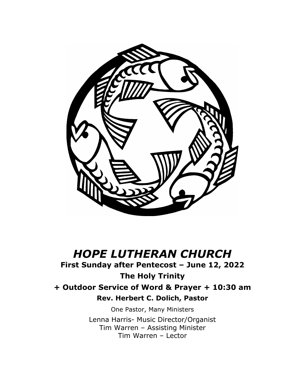

# *HOPE LUTHERAN CHURCH*

# **First Sunday after Pentecost – June 12, 2022**

**The Holy Trinity + Outdoor Service of Word & Prayer + 10:30 am Rev. Herbert C. Dolich, Pastor**

> One Pastor, Many Ministers Lenna Harris- Music Director/Organist Tim Warren – Assisting Minister Tim Warren – Lector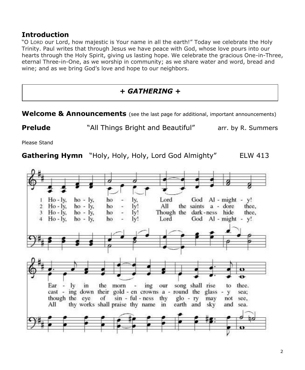#### **Introduction**

"O LORD our Lord, how majestic is Your name in all the earth!" Today we celebrate the Holy Trinity. Paul writes that through Jesus we have peace with God, whose love pours into our hearts through the Holy Spirit, giving us lasting hope. We celebrate the gracious One-in-Three, eternal Three-in-One, as we worship in community; as we share water and word, bread and wine; and as we bring God's love and hope to our neighbors.

#### *+ GATHERING +*

**Welcome & Announcements** (see the last page for additional, important announcements)

**Prelude** "All Things Bright and Beautiful" arr. by R. Summers

Please Stand

**Gathering Hymn** "Holy, Holy, Holy, Lord God Almighty" ELW 413

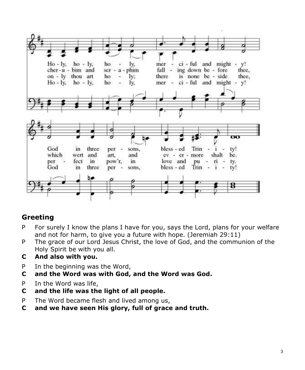

# **Greeting**

- P For surely I know the plans I have for you, says the Lord, plans for your welfare and not for harm, to give you a future with hope. (Jeremiah 29:11)
- P The grace of our Lord Jesus Christ, the love of God, and the communion of the Holy Spirit be with you all.
- **C And also with you.**
- P In the beginning was the Word,
- **C and the Word was with God, and the Word was God.**
- P In the Word was life,
- **C and the life was the light of all people.**
- P The Word became flesh and lived among us,
- **C and we have seen His glory, full of grace and truth.**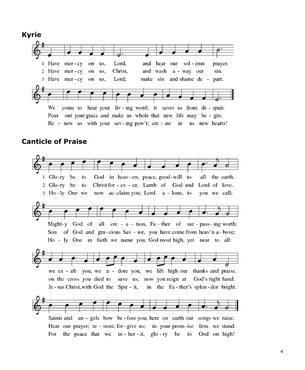

#### **Canticle of Praise**

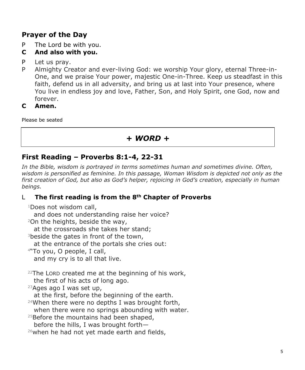# **Prayer of the Day**

- P The Lord be with you.
- **C And also with you.**
- P Let us pray.
- P Almighty Creator and ever-living God: we worship Your glory, eternal Three-in-One, and we praise Your power, majestic One-in-Three. Keep us steadfast in this faith, defend us in all adversity, and bring us at last into Your presence, where You live in endless joy and love, Father, Son, and Holy Spirit, one God, now and forever.

#### **C Amen.**

Please be seated

# *+ WORD +*

#### **First Reading – Proverbs 8:1-4, 22-31**

*In the Bible, wisdom is portrayed in terms sometimes human and sometimes divine. Often, wisdom is personified as feminine. In this passage, Woman Wisdom is depicted not only as the first creation of God, but also as God's helper, rejoicing in God's creation, especially in human beings.*

#### L **The first reading is from the 8th Chapter of Proverbs**

<sup>1</sup>Does not wisdom call,

and does not understanding raise her voice?

<sup>2</sup>On the heights, beside the way,

at the crossroads she takes her stand;

<sup>3</sup>beside the gates in front of the town,

at the entrance of the portals she cries out:

<sup>4</sup>"To you, O people, I call,

and my cry is to all that live.

 $22$ The LORD created me at the beginning of his work,

the first of his acts of long ago.

 $23$ Ages ago I was set up,

at the first, before the beginning of the earth.

 $24$ When there were no depths I was brought forth,

when there were no springs abounding with water.

 $25$ Before the mountains had been shaped,

before the hills, I was brought forth—

26when he had not yet made earth and fields,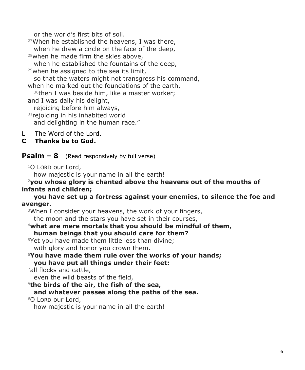or the world's first bits of soil.

 $27$ When he established the heavens, I was there, when he drew a circle on the face of the deep, 28when he made firm the skies above, when he established the fountains of the deep.  $29$ when he assigned to the sea its limit, so that the waters might not transgress his command, when he marked out the foundations of the earth, <sup>30</sup>then I was beside him, like a master worker; and I was daily his delight, rejoicing before him always, <sup>31</sup> rejoicing in his inhabited world and delighting in the human race."

L The Word of the Lord.

#### **C Thanks be to God.**

**Psalm – 8** (Read responsively by full verse)

<sup>1</sup>O LORD our Lord,

how majestic is your name in all the earth!

#### <sup>2</sup>**you whose glory is chanted above the heavens out of the mouths of infants and children;**

**you have set up a fortress against your enemies, to silence the foe and avenger.**

<sup>3</sup>When I consider your heavens, the work of your fingers, the moon and the stars you have set in their courses,

<sup>4</sup>**what are mere mortals that you should be mindful of them, human beings that you should care for them?**

<sup>5</sup>Yet you have made them little less than divine; with glory and honor you crown them.

<sup>6</sup>**You have made them rule over the works of your hands; you have put all things under their feet:**

<sup>7</sup>all flocks and cattle,

even the wild beasts of the field,

<sup>8</sup>**the birds of the air, the fish of the sea,**

**and whatever passes along the paths of the sea.**

<sup>9</sup>O LORD our Lord,

how majestic is your name in all the earth!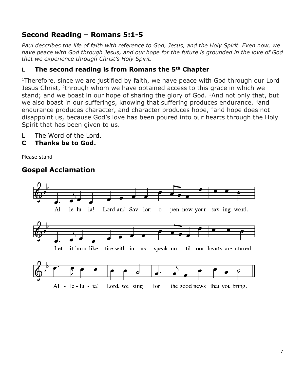# **Second Reading – Romans 5:1-5**

*Paul describes the life of faith with reference to God, Jesus, and the Holy Spirit. Even now, we have peace with God through Jesus, and our hope for the future is grounded in the love of God that we experience through Christ's Holy Spirit.*

#### L **The second reading is from Romans the 5th Chapter**

<sup>1</sup>Therefore, since we are justified by faith, we have peace with God through our Lord Jesus Christ, <sup>2</sup>through whom we have obtained access to this grace in which we stand; and we boast in our hope of sharing the glory of God.  $3$ And not only that, but we also boast in our sufferings, knowing that suffering produces endurance, 4and endurance produces character, and character produces hope, <sup>5</sup>and hope does not disappoint us, because God's love has been poured into our hearts through the Holy Spirit that has been given to us.

- L The Word of the Lord.
- **C Thanks be to God.**

Please stand

# **Gospel Acclamation**

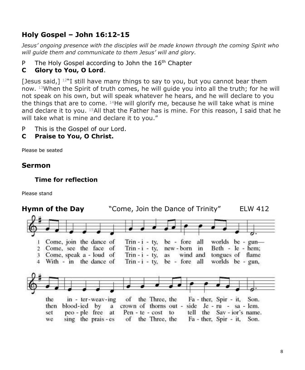# **Holy Gospel – John 16:12-15**

*Jesus' ongoing presence with the disciples will be made known through the coming Spirit who will guide them and communicate to them Jesus' will and glory.*

P The Holy Gospel according to John the 16<sup>th</sup> Chapter

#### **C Glory to You, O Lord**.

[Jesus said,] <sup>12"</sup>I still have many things to say to you, but you cannot bear them now. <sup>13</sup>When the Spirit of truth comes, he will guide you into all the truth; for he will not speak on his own, but will speak whatever he hears, and he will declare to you the things that are to come.  $14$ He will glorify me, because he will take what is mine and declare it to you. <sup>15</sup>All that the Father has is mine. For this reason, I said that he will take what is mine and declare it to you."

- P This is the Gospel of our Lord.
- **C Praise to You, O Christ.**

Please be seated

# **Sermon**

#### **Time for reflection**

Please stand

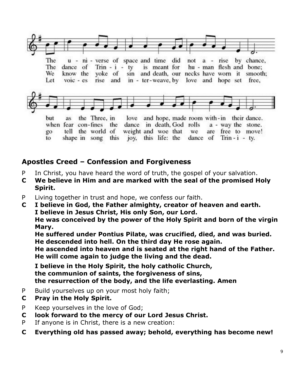

# **Apostles Creed – Confession and Forgiveness**

- P In Christ, you have heard the word of truth, the gospel of your salvation.
- **C We believe in Him and are marked with the seal of the promised Holy Spirit.**
- P Living together in trust and hope, we confess our faith.
- **C I believe in God, the Father almighty, creator of heaven and earth. I believe in Jesus Christ, His only Son, our Lord. He was conceived by the power of the Holy Spirit and born of the virgin Mary.**

 **He suffered under Pontius Pilate, was crucified, died, and was buried. He descended into hell. On the third day He rose again.** 

 **He ascended into heaven and is seated at the right hand of the Father. He will come again to judge the living and the dead.**

 **I believe in the Holy Spirit, the holy catholic Church, the communion of saints, the forgiveness of sins, the resurrection of the body, and the life everlasting. Amen**

- P Build yourselves up on your most holy faith;
- **C Pray in the Holy Spirit.**
- P Keep yourselves in the love of God;
- **C look forward to the mercy of our Lord Jesus Christ.**
- P If anyone is in Christ, there is a new creation:
- **C Everything old has passed away; behold, everything has become new!**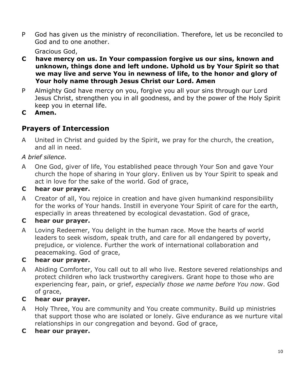P God has given us the ministry of reconciliation. Therefore, let us be reconciled to God and to one another.

Gracious God,

- **C have mercy on us. In Your compassion forgive us our sins, known and unknown, things done and left undone. Uphold us by Your Spirit so that we may live and serve You in newness of life, to the honor and glory of Your holy name through Jesus Christ our Lord. Amen**
- P Almighty God have mercy on you, forgive you all your sins through our Lord Jesus Christ, strengthen you in all goodness, and by the power of the Holy Spirit keep you in eternal life.
- **C Amen.**

# **Prayers of Intercession**

A United in Christ and guided by the Spirit, we pray for the church, the creation, and all in need.

#### *A brief silence.*

A One God, giver of life, You established peace through Your Son and gave Your church the hope of sharing in Your glory. Enliven us by Your Spirit to speak and act in love for the sake of the world. God of grace,

#### **C hear our prayer.**

A Creator of all, You rejoice in creation and have given humankind responsibility for the works of Your hands. Instill in everyone Your Spirit of care for the earth, especially in areas threatened by ecological devastation. God of grace,

#### **C hear our prayer.**

A Loving Redeemer, You delight in the human race. Move the hearts of world leaders to seek wisdom, speak truth, and care for all endangered by poverty, prejudice, or violence. Further the work of international collaboration and peacemaking. God of grace,

#### **C hear our prayer.**

A Abiding Comforter, You call out to all who live. Restore severed relationships and protect children who lack trustworthy caregivers. Grant hope to those who are experiencing fear, pain, or grief, *especially those we name before You now*. God of grace,

#### **C hear our prayer.**

- A Holy Three, You are community and You create community. Build up ministries that support those who are isolated or lonely. Give endurance as we nurture vital relationships in our congregation and beyond. God of grace,
- **C hear our prayer.**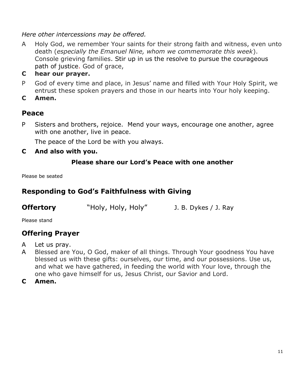*Here other intercessions may be offered.*

- A Holy God, we remember Your saints for their strong faith and witness, even unto death (*especially the Emanuel Nine, whom we commemorate this week*). Console grieving families. Stir up in us the resolve to pursue the courageous path of justice. God of grace,
- **C hear our prayer.**
- P God of every time and place, in Jesus' name and filled with Your Holy Spirit, we entrust these spoken prayers and those in our hearts into Your holy keeping.
- **C Amen.**

#### **Peace**

P Sisters and brothers, rejoice. Mend your ways, encourage one another, agree with one another, live in peace.

The peace of the Lord be with you always.

**C And also with you.**

#### **Please share our Lord's Peace with one another**

Please be seated

#### **Responding to God's Faithfulness with Giving**

| <b>Offertory</b><br>"Holy, Holy, Holy" | J. B. Dykes / J. Ray |
|----------------------------------------|----------------------|
|----------------------------------------|----------------------|

Please stand

#### **Offering Prayer**

- A Let us pray.
- A Blessed are You, O God, maker of all things. Through Your goodness You have blessed us with these gifts: ourselves, our time, and our possessions. Use us, and what we have gathered, in feeding the world with Your love, through the one who gave himself for us, Jesus Christ, our Savior and Lord.
- **C Amen.**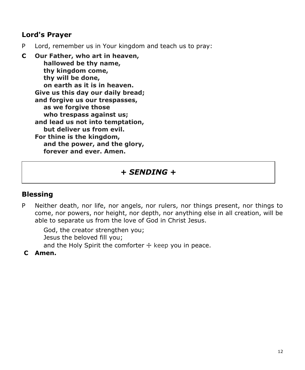#### **Lord's Prayer**

P Lord, remember us in Your kingdom and teach us to pray:

**C Our Father, who art in heaven, hallowed be thy name, thy kingdom come, thy will be done, on earth as it is in heaven. Give us this day our daily bread; and forgive us our trespasses, as we forgive those who trespass against us; and lead us not into temptation, but deliver us from evil. For thine is the kingdom, and the power, and the glory, forever and ever. Amen.**

# *+ SENDING +*

# **Blessing**

P Neither death, nor life, nor angels, nor rulers, nor things present, nor things to come, nor powers, nor height, nor depth, nor anything else in all creation, will be able to separate us from the love of God in Christ Jesus.

 God, the creator strengthen you; Jesus the beloved fill you; and the Holy Spirit the comforter  $+$  keep you in peace.

**C Amen.**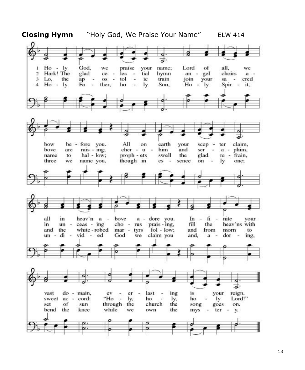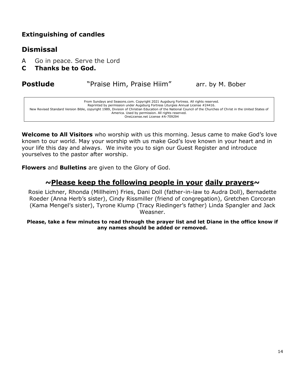#### **Extinguishing of candles**

#### **Dismissal**

- A Go in peace. Serve the Lord
- **C Thanks be to God.**

#### **Postlude** "Praise Him, Praise Hiim" arr. by M. Bober

| From Sundays and Seasons.com. Copyright 2021 Augsburg Fortress. All rights reserved.<br>Reprinted by permission under Augsburg Fortress Liturgies Annual License #24416. |  |
|--------------------------------------------------------------------------------------------------------------------------------------------------------------------------|--|
|                                                                                                                                                                          |  |
| New Revised Standard Version Bible, copyright 1989, Division of Christian Education of the National Council of the Churches of Christ in the United States of            |  |
| America. Used by permission. All rights reserved.                                                                                                                        |  |
| OneLicense.net License #A-709294                                                                                                                                         |  |
|                                                                                                                                                                          |  |

**Welcome to All Visitors** who worship with us this morning. Jesus came to make God's love known to our world. May your worship with us make God's love known in your heart and in your life this day and always. We invite you to sign our Guest Register and introduce yourselves to the pastor after worship.

**Flowers** and **Bulletins** are given to the Glory of God.

#### **~Please keep the following people in your daily prayers~**

Rosie Lichner, Rhonda (Millheim) Fries, Dani Doll (father-in-law to Audra Doll), Bernadette Roeder (Anna Herb's sister), Cindy Rissmiller (friend of congregation), Gretchen Corcoran (Kama Mengel's sister), Tyrone Klump (Tracy Riedinger's father) Linda Spangler and Jack Weasner.

**Please, take a few minutes to read through the prayer list and let Diane in the office know if any names should be added or removed.**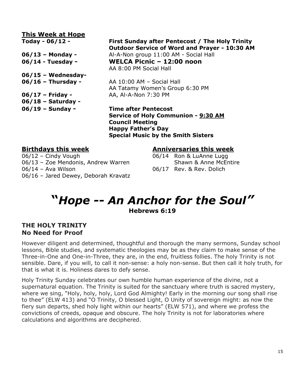| This Week at Hope    |                                                 |
|----------------------|-------------------------------------------------|
| Today - $06/12$ -    | First Sunday after Pentecost / The Holy Trinity |
|                      | Outdoor Service of Word and Prayer - 10:30 AM   |
| $06/13$ – Monday -   | Al-A-Non group 11:00 AM - Social Hall           |
| 06/14 - Tuesday -    | WELCA Picnic - 12:00 noon                       |
|                      | AA 8:00 PM Social Hall                          |
| $06/15$ – Wednesday- |                                                 |
| $06/16$ – Thursday - | AA 10:00 AM - Social Hall                       |
|                      | AA Tatamy Women's Group 6:30 PM                 |
| $06/17$ – Friday -   | AA, Al-A-Non 7:30 PM                            |
| $06/18$ – Saturday - |                                                 |
| $06/19$ – Sunday –   | <b>Time after Pentecost</b>                     |
|                      | Service of Holy Communion - 9:30 AM             |
|                      | <b>Council Meeting</b>                          |

**Happy Father's Day**

06/12 - Cindy Vough 06/14 Ron & LuAnne Lugg 06/13 - Zoe Mendonis, Andrew Warren Shawn & Anne McEntire 06/14 – Ava Wilson **Disk Communist Communist Communist Communist Communist Communist Communist Communist Communist Communist Communist Communist Communist Communist Communist Communist Communist Communist Communist Communi** 06/16 – Jared Dewey, Deborah Kravatz

#### **Birthdays this week Anniversaries this week**

# **"***Hope -- An Anchor for the Soul"* **Hebrews 6:19**

**Special Music by the Smith Sisters**

#### **THE HOLY TRINITY No Need for Proof**

However diligent and determined, thoughtful and thorough the many sermons, Sunday school lessons, Bible studies, and systematic theologies may be as they claim to make sense of the Three-in-One and One-in-Three, they are, in the end, fruitless follies. The holy Trinity is not sensible. Dare, if you will, to call it non-sense: a holy non-sense. But then call it holy truth, for that is what it is. Holiness dares to defy sense.

Holy Trinity Sunday celebrates our own humble human experience of the divine, not a supernatural equation. The Trinity is suited for the sanctuary where truth is sacred mystery, where we sing, "Holy, holy, holy, Lord God Almighty! Early in the morning our song shall rise to thee" (ELW 413) and "O Trinity, O blessed Light, O Unity of sovereign might: as now the fiery sun departs, shed holy light within our hearts" (ELW 571), and where we profess the convictions of creeds, opaque and obscure. The holy Trinity is not for laboratories where calculations and algorithms are deciphered.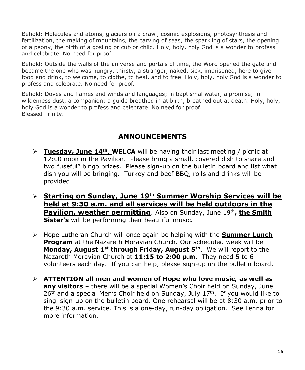Behold: Molecules and atoms, glaciers on a crawl, cosmic explosions, photosynthesis and fertilization, the making of mountains, the carving of seas, the sparkling of stars, the opening of a peony, the birth of a gosling or cub or child. Holy, holy, holy God is a wonder to profess and celebrate. No need for proof.

Behold: Outside the walls of the universe and portals of time, the Word opened the gate and became the one who was hungry, thirsty, a stranger, naked, sick, imprisoned, here to give food and drink, to welcome, to clothe, to heal, and to free. Holy, holy, holy God is a wonder to profess and celebrate. No need for proof.

Behold: Doves and flames and winds and languages; in baptismal water, a promise; in wilderness dust, a companion; a guide breathed in at birth, breathed out at death. Holy, holy, holy God is a wonder to profess and celebrate. No need for proof. Blessed Trinity.

# **ANNOUNCEMENTS**

- ➢ **Tuesday, June 14th** , **WELCA** will be having their last meeting / picnic at 12:00 noon in the Pavilion. Please bring a small, covered dish to share and two "useful" bingo prizes. Please sign-up on the bulletin board and list what dish you will be bringing. Turkey and beef BBQ, rolls and drinks will be provided.
- ➢ **Starting on Sunday, June 19th Summer Worship Services will be held at 9:30 a.m. and all services will be held outdoors in the Pavilion, weather permitting**. Also on Sunday, June 19th, the Smith **Sister's** will be performing their beautiful music.
- ➢ Hope Lutheran Church will once again be helping with the **Summer Lunch Program** at the Nazareth Moravian Church. Our scheduled week will be **Monday, August 1st through Friday, August 5th** . We will report to the Nazareth Moravian Church at **11:15 to 2:00 p.m**. They need 5 to 6 volunteers each day. If you can help, please sign-up on the bulletin board.
- ➢ **ATTENTION all men and women of Hope who love music, as well as any visitors** – there will be a special Women's Choir held on Sunday, June  $26<sup>th</sup>$  and a special Men's Choir held on Sunday, July  $17<sup>th</sup>$ . If you would like to sing, sign-up on the bulletin board. One rehearsal will be at 8:30 a.m. prior to the 9:30 a.m. service. This is a one-day, fun-day obligation. See Lenna for more information.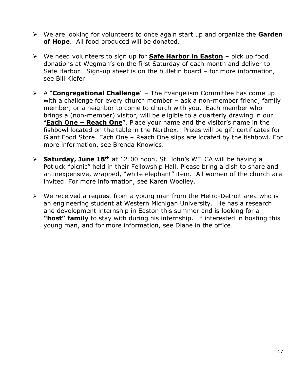- ➢ We are looking for volunteers to once again start up and organize the **Garden of Hope**. All food produced will be donated.
- ➢ We need volunteers to sign up for **Safe Harbor in Easton** pick up food donations at Wegman's on the first Saturday of each month and deliver to Safe Harbor. Sign-up sheet is on the bulletin board – for more information, see Bill Kiefer.
- ➢ A "**Congregational Challenge**" The Evangelism Committee has come up with a challenge for every church member – ask a non-member friend, family member, or a neighbor to come to church with you. Each member who brings a (non-member) visitor, will be eligible to a quarterly drawing in our "**Each One – Reach One**". Place your name and the visitor's name in the fishbowl located on the table in the Narthex. Prizes will be gift certificates for Giant Food Store. Each One – Reach One slips are located by the fishbowl. For more information, see Brenda Knowles.
- ➢ **Saturday, June 18th** at 12:00 noon, St. John's WELCA will be having a Potluck "picnic" held in their Fellowship Hall. Please bring a dish to share and an inexpensive, wrapped, "white elephant" item. All women of the church are invited. For more information, see Karen Woolley.
- $\triangleright$  We received a request from a young man from the Metro-Detroit area who is an engineering student at Western Michigan University. He has a research and development internship in Easton this summer and is looking for a **"host" family** to stay with during his internship. If interested in hosting this young man, and for more information, see Diane in the office.